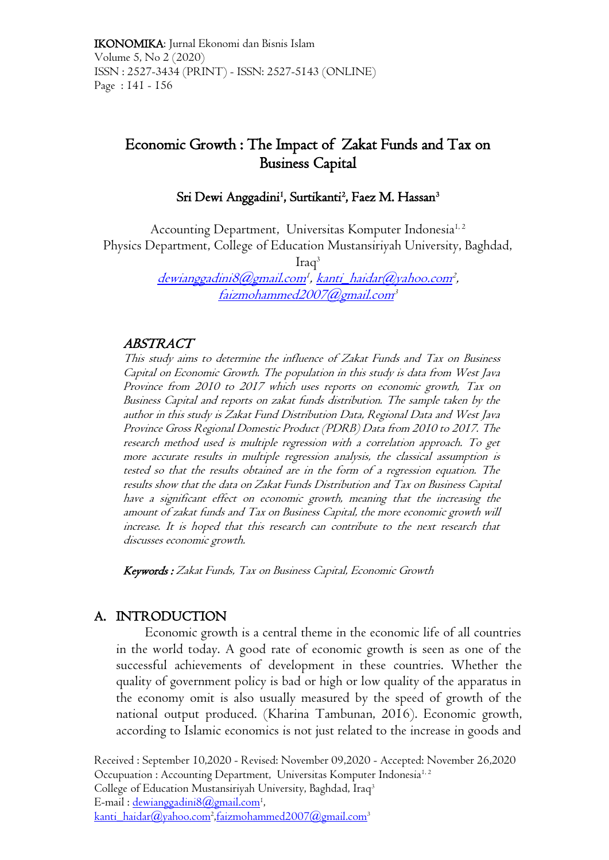# Economic Growth : The Impact of Zakat Funds and Tax on Business Capital

# Sri Dewi Anggadini<sup>1</sup>, Surtikanti<sup>2</sup>, Faez M. Hassan<sup>3</sup>

Accounting Department, Universitas Komputer Indonesia<sup>1, 2</sup> Physics Department, College of Education Mustansiriyah University, Baghdad,

 $Iraq<sup>3</sup>$ 

<u>[dewianggadini8@gmail.com](mailto:dewianggadini8@gmail.com)<del>'</del>, [kanti\\_haidar@yahoo.com](mailto:kanti_haidar@yahoo.com)</u><sup>2</sup>, [faizmohammed2007@gmail.com](mailto:faizmohammed2007@gmail.com)<sup>3</sup>

### ABSTRACT

This study aims to determine the influence of Zakat Funds and Tax on Business Capital on Economic Growth. The population in this study is data from West Java Province from 2010 to 2017 which uses reports on economic growth, Tax on Business Capital and reports on zakat funds distribution. The sample taken by the author in this study is Zakat Fund Distribution Data, Regional Data and West Java Province Gross Regional Domestic Product (PDRB) Data from 2010 to 2017. The research method used is multiple regression with a correlation approach. To get more accurate results in multiple regression analysis, the classical assumption is tested so that the results obtained are in the form of a regression equation. The results show that the data on Zakat Funds Distribution and Tax on Business Capital have a significant effect on economic growth, meaning that the increasing the amount of zakat funds and Tax on Business Capital, the more economic growth will increase. It is hoped that this research can contribute to the next research that discusses economic growth.

Keywords : Zakat Funds, Tax on Business Capital, Economic Growth

# A. INTRODUCTION

Economic growth is a central theme in the economic life of all countries in the world today. A good rate of economic growth is seen as one of the successful achievements of development in these countries. Whether the quality of government policy is bad or high or low quality of the apparatus in the economy omit is also usually measured by the speed of growth of the national output produced. (Kharina Tambunan, 2016). Economic growth, according to Islamic economics is not just related to the increase in goods and

Received : September 10,2020 - Revised: November 09,2020 - Accepted: November 26,2020 Occupuation : Accounting Department, Universitas Komputer Indonesia<sup>1, 2</sup> College of Education Mustansiriyah University, Baghdad, Iraq<sup>3</sup> E-mail : <u>dewianggadini8@gmail.com</u><sup>1</sup>, <u>[kanti\\_haidar@yahoo.com](mailto:kanti_haidar@yahoo.com)<sup>2</sup>[,faizmohammed2007@gmail.com](mailto:faizmohammed2007@gmail.com)</u>3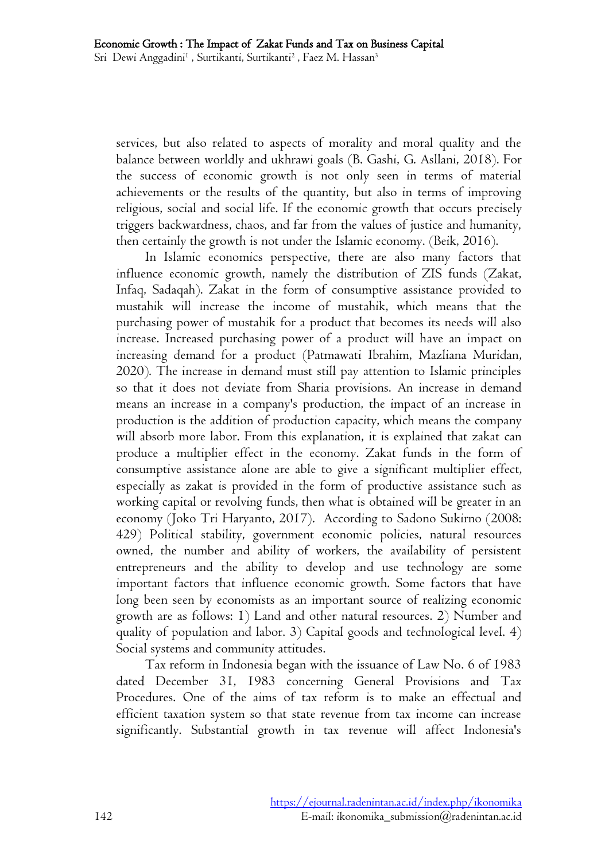services, but also related to aspects of morality and moral quality and the balance between worldly and ukhrawi goals (B. Gashi, G. Asllani, 2018). For the success of economic growth is not only seen in terms of material achievements or the results of the quantity, but also in terms of improving religious, social and social life. If the economic growth that occurs precisely triggers backwardness, chaos, and far from the values of justice and humanity, then certainly the growth is not under the Islamic economy. (Beik, 2016).

In Islamic economics perspective, there are also many factors that influence economic growth, namely the distribution of ZIS funds (Zakat, Infaq, Sadaqah). Zakat in the form of consumptive assistance provided to mustahik will increase the income of mustahik, which means that the purchasing power of mustahik for a product that becomes its needs will also increase. Increased purchasing power of a product will have an impact on increasing demand for a product (Patmawati Ibrahim, Mazliana Muridan, 2020). The increase in demand must still pay attention to Islamic principles so that it does not deviate from Sharia provisions. An increase in demand means an increase in a company's production, the impact of an increase in production is the addition of production capacity, which means the company will absorb more labor. From this explanation, it is explained that zakat can produce a multiplier effect in the economy. Zakat funds in the form of consumptive assistance alone are able to give a significant multiplier effect, especially as zakat is provided in the form of productive assistance such as working capital or revolving funds, then what is obtained will be greater in an economy (Joko Tri Haryanto, 2017). According to Sadono Sukirno (2008: 429) Political stability, government economic policies, natural resources owned, the number and ability of workers, the availability of persistent entrepreneurs and the ability to develop and use technology are some important factors that influence economic growth. Some factors that have long been seen by economists as an important source of realizing economic growth are as follows: 1) Land and other natural resources. 2) Number and quality of population and labor. 3) Capital goods and technological level. 4) Social systems and community attitudes.

Tax reform in Indonesia began with the issuance of Law No. 6 of 1983 dated December 31, 1983 concerning General Provisions and Tax Procedures. One of the aims of tax reform is to make an effectual and efficient taxation system so that state revenue from tax income can increase significantly. Substantial growth in tax revenue will affect Indonesia's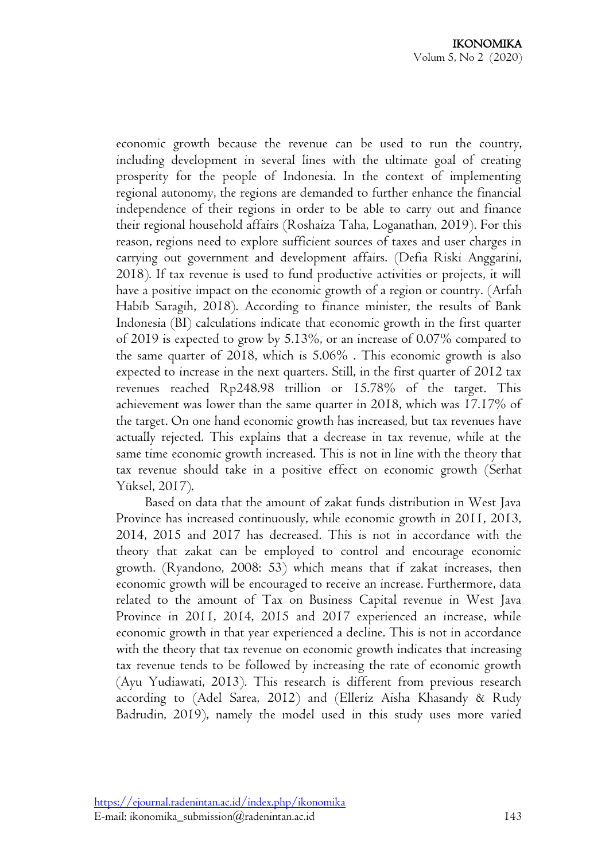economic growth because the revenue can be used to run the country, including development in several lines with the ultimate goal of creating prosperity for the people of Indonesia. In the context of implementing regional autonomy, the regions are demanded to further enhance the financial independence of their regions in order to be able to carry out and finance their regional household affairs (Roshaiza Taha, Loganathan, 2019). For this reason, regions need to explore sufficient sources of taxes and user charges in carrying out government and development affairs. (Defia Riski Anggarini, 2018). If tax revenue is used to fund productive activities or projects, it will have a positive impact on the economic growth of a region or country. (Arfah Habib Saragih, 2018). According to finance minister, the results of Bank Indonesia (BI) calculations indicate that economic growth in the first quarter of 2019 is expected to grow by 5.13%, or an increase of 0.07% compared to the same quarter of 2018, which is 5.06% . This economic growth is also expected to increase in the next quarters. Still, in the first quarter of 2012 tax revenues reached Rp248.98 trillion or 15.78% of the target. This achievement was lower than the same quarter in 2018, which was 17.17% of the target. On one hand economic growth has increased, but tax revenues have actually rejected. This explains that a decrease in tax revenue, while at the same time economic growth increased. This is not in line with the theory that tax revenue should take in a positive effect on economic growth (Serhat Yüksel, 2017).

Based on data that the amount of zakat funds distribution in West Java Province has increased continuously, while economic growth in 2011, 2013, 2014, 2015 and 2017 has decreased. This is not in accordance with the theory that zakat can be employed to control and encourage economic growth. (Ryandono, 2008: 53) which means that if zakat increases, then economic growth will be encouraged to receive an increase. Furthermore, data related to the amount of Tax on Business Capital revenue in West Java Province in 2011, 2014, 2015 and 2017 experienced an increase, while economic growth in that year experienced a decline. This is not in accordance with the theory that tax revenue on economic growth indicates that increasing tax revenue tends to be followed by increasing the rate of economic growth (Ayu Yudiawati, 2013). This research is different from previous research according to (Adel Sarea, 2012) and (Elleriz Aisha Khasandy & Rudy Badrudin, 2019), namely the model used in this study uses more varied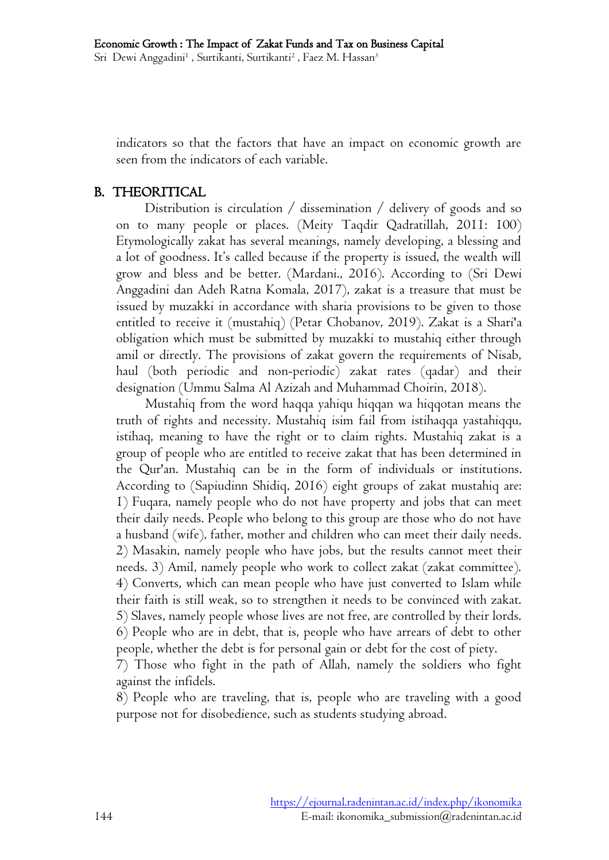indicators so that the factors that have an impact on economic growth are seen from the indicators of each variable.

#### B. THEORITICAL

Distribution is circulation / dissemination / delivery of goods and so on to many people or places. (Meity Taqdir Qadratillah, 2011: 100) Etymologically zakat has several meanings, namely developing, a blessing and a lot of goodness. It's called because if the property is issued, the wealth will grow and bless and be better. (Mardani., 2016). According to (Sri Dewi Anggadini dan Adeh Ratna Komala, 2017), zakat is a treasure that must be issued by muzakki in accordance with sharia provisions to be given to those entitled to receive it (mustahiq) (Petar Chobanov, 2019). Zakat is a Shari'a obligation which must be submitted by muzakki to mustahiq either through amil or directly. The provisions of zakat govern the requirements of Nisab, haul (both periodic and non-periodic) zakat rates (qadar) and their designation (Ummu Salma Al Azizah and Muhammad Choirin, 2018).

Mustahiq from the word haqqa yahiqu hiqqan wa hiqqotan means the truth of rights and necessity. Mustahiq isim fail from istihaqqa yastahiqqu, istihaq, meaning to have the right or to claim rights. Mustahiq zakat is a group of people who are entitled to receive zakat that has been determined in the Qur'an. Mustahiq can be in the form of individuals or institutions. According to (Sapiudinn Shidiq, 2016) eight groups of zakat mustahiq are: 1) Fuqara, namely people who do not have property and jobs that can meet their daily needs. People who belong to this group are those who do not have a husband (wife), father, mother and children who can meet their daily needs. 2) Masakin, namely people who have jobs, but the results cannot meet their needs. 3) Amil, namely people who work to collect zakat (zakat committee). 4) Converts, which can mean people who have just converted to Islam while their faith is still weak, so to strengthen it needs to be convinced with zakat. 5) Slaves, namely people whose lives are not free, are controlled by their lords. 6) People who are in debt, that is, people who have arrears of debt to other people, whether the debt is for personal gain or debt for the cost of piety.

7) Those who fight in the path of Allah, namely the soldiers who fight against the infidels.

8) People who are traveling, that is, people who are traveling with a good purpose not for disobedience, such as students studying abroad.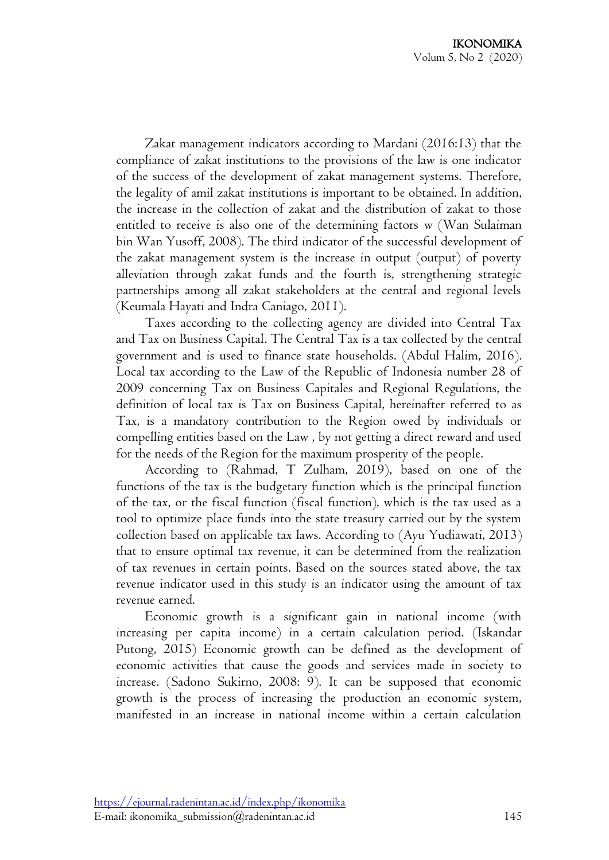Zakat management indicators according to Mardani (2016:13) that the compliance of zakat institutions to the provisions of the law is one indicator of the success of the development of zakat management systems. Therefore, the legality of amil zakat institutions is important to be obtained. In addition, the increase in the collection of zakat and the distribution of zakat to those entitled to receive is also one of the determining factors w (Wan Sulaiman bin Wan Yusoff, 2008). The third indicator of the successful development of the zakat management system is the increase in output (output) of poverty alleviation through zakat funds and the fourth is, strengthening strategic partnerships among all zakat stakeholders at the central and regional levels (Keumala Hayati and Indra Caniago, 2011).

Taxes according to the collecting agency are divided into Central Tax and Tax on Business Capital. The Central Tax is a tax collected by the central government and is used to finance state households. (Abdul Halim, 2016). Local tax according to the Law of the Republic of Indonesia number 28 of 2009 concerning Tax on Business Capitales and Regional Regulations, the definition of local tax is Tax on Business Capital, hereinafter referred to as Tax, is a mandatory contribution to the Region owed by individuals or compelling entities based on the Law , by not getting a direct reward and used for the needs of the Region for the maximum prosperity of the people.

According to (Rahmad, T Zulham, 2019), based on one of the functions of the tax is the budgetary function which is the principal function of the tax, or the fiscal function (fiscal function), which is the tax used as a tool to optimize place funds into the state treasury carried out by the system collection based on applicable tax laws. According to (Ayu Yudiawati, 2013) that to ensure optimal tax revenue, it can be determined from the realization of tax revenues in certain points. Based on the sources stated above, the tax revenue indicator used in this study is an indicator using the amount of tax revenue earned.

Economic growth is a significant gain in national income (with increasing per capita income) in a certain calculation period. (Iskandar Putong, 2015) Economic growth can be defined as the development of economic activities that cause the goods and services made in society to increase. (Sadono Sukirno, 2008: 9). It can be supposed that economic growth is the process of increasing the production an economic system, manifested in an increase in national income within a certain calculation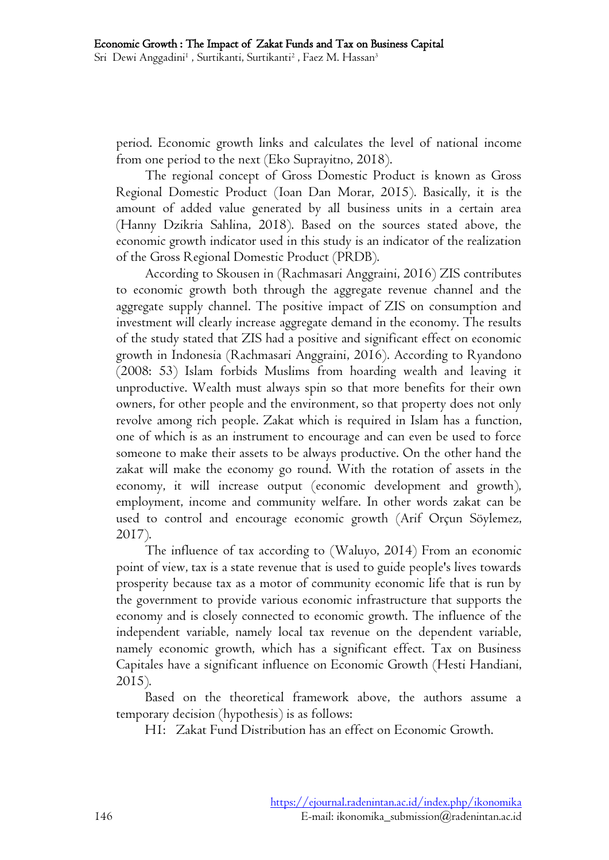period. Economic growth links and calculates the level of national income from one period to the next (Eko Suprayitno, 2018).

The regional concept of Gross Domestic Product is known as Gross Regional Domestic Product (Ioan Dan Morar, 2015). Basically, it is the amount of added value generated by all business units in a certain area (Hanny Dzikria Sahlina, 2018). Based on the sources stated above, the economic growth indicator used in this study is an indicator of the realization of the Gross Regional Domestic Product (PRDB).

According to Skousen in (Rachmasari Anggraini, 2016) ZIS contributes to economic growth both through the aggregate revenue channel and the aggregate supply channel. The positive impact of ZIS on consumption and investment will clearly increase aggregate demand in the economy. The results of the study stated that ZIS had a positive and significant effect on economic growth in Indonesia (Rachmasari Anggraini, 2016). According to Ryandono (2008: 53) Islam forbids Muslims from hoarding wealth and leaving it unproductive. Wealth must always spin so that more benefits for their own owners, for other people and the environment, so that property does not only revolve among rich people. Zakat which is required in Islam has a function, one of which is as an instrument to encourage and can even be used to force someone to make their assets to be always productive. On the other hand the zakat will make the economy go round. With the rotation of assets in the economy, it will increase output (economic development and growth), employment, income and community welfare. In other words zakat can be used to control and encourage economic growth (Arif Orçun Söylemez, 2017).

The influence of tax according to (Waluyo, 2014) From an economic point of view, tax is a state revenue that is used to guide people's lives towards prosperity because tax as a motor of community economic life that is run by the government to provide various economic infrastructure that supports the economy and is closely connected to economic growth. The influence of the independent variable, namely local tax revenue on the dependent variable, namely economic growth, which has a significant effect. Tax on Business Capitales have a significant influence on Economic Growth (Hesti Handiani, 2015).

Based on the theoretical framework above, the authors assume a temporary decision (hypothesis) is as follows:

H1: Zakat Fund Distribution has an effect on Economic Growth.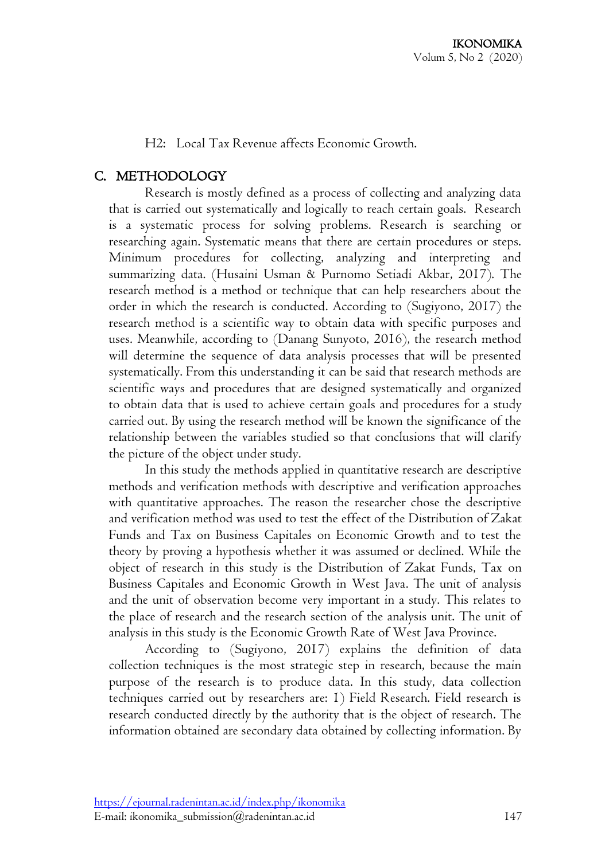H2: Local Tax Revenue affects Economic Growth.

# C. METHODOLOGY

Research is mostly defined as a process of collecting and analyzing data that is carried out systematically and logically to reach certain goals. Research is a systematic process for solving problems. Research is searching or researching again. Systematic means that there are certain procedures or steps. Minimum procedures for collecting, analyzing and interpreting and summarizing data. (Husaini Usman & Purnomo Setiadi Akbar, 2017). The research method is a method or technique that can help researchers about the order in which the research is conducted. According to (Sugiyono, 2017) the research method is a scientific way to obtain data with specific purposes and uses. Meanwhile, according to (Danang Sunyoto, 2016), the research method will determine the sequence of data analysis processes that will be presented systematically. From this understanding it can be said that research methods are scientific ways and procedures that are designed systematically and organized to obtain data that is used to achieve certain goals and procedures for a study carried out. By using the research method will be known the significance of the relationship between the variables studied so that conclusions that will clarify the picture of the object under study.

In this study the methods applied in quantitative research are descriptive methods and verification methods with descriptive and verification approaches with quantitative approaches. The reason the researcher chose the descriptive and verification method was used to test the effect of the Distribution of Zakat Funds and Tax on Business Capitales on Economic Growth and to test the theory by proving a hypothesis whether it was assumed or declined. While the object of research in this study is the Distribution of Zakat Funds, Tax on Business Capitales and Economic Growth in West Java. The unit of analysis and the unit of observation become very important in a study. This relates to the place of research and the research section of the analysis unit. The unit of analysis in this study is the Economic Growth Rate of West Java Province.

According to (Sugiyono, 2017) explains the definition of data collection techniques is the most strategic step in research, because the main purpose of the research is to produce data. In this study, data collection techniques carried out by researchers are: 1) Field Research. Field research is research conducted directly by the authority that is the object of research. The information obtained are secondary data obtained by collecting information. By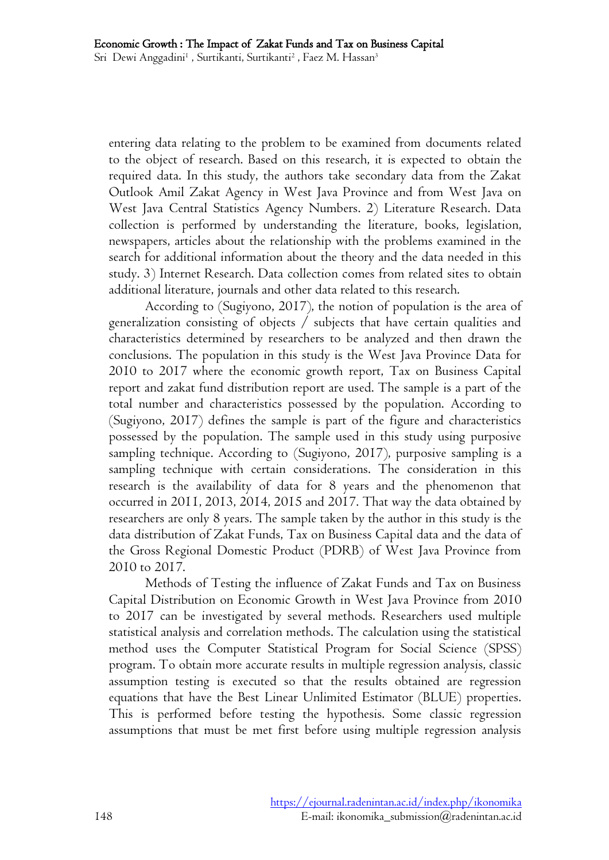entering data relating to the problem to be examined from documents related to the object of research. Based on this research, it is expected to obtain the required data. In this study, the authors take secondary data from the Zakat Outlook Amil Zakat Agency in West Java Province and from West Java on West Java Central Statistics Agency Numbers. 2) Literature Research. Data collection is performed by understanding the literature, books, legislation, newspapers, articles about the relationship with the problems examined in the search for additional information about the theory and the data needed in this study. 3) Internet Research. Data collection comes from related sites to obtain additional literature, journals and other data related to this research.

According to (Sugiyono, 2017), the notion of population is the area of generalization consisting of objects / subjects that have certain qualities and characteristics determined by researchers to be analyzed and then drawn the conclusions. The population in this study is the West Java Province Data for 2010 to 2017 where the economic growth report, Tax on Business Capital report and zakat fund distribution report are used. The sample is a part of the total number and characteristics possessed by the population. According to (Sugiyono, 2017) defines the sample is part of the figure and characteristics possessed by the population. The sample used in this study using purposive sampling technique. According to (Sugiyono, 2017), purposive sampling is a sampling technique with certain considerations. The consideration in this research is the availability of data for 8 years and the phenomenon that occurred in 2011, 2013, 2014, 2015 and 2017. That way the data obtained by researchers are only 8 years. The sample taken by the author in this study is the data distribution of Zakat Funds, Tax on Business Capital data and the data of the Gross Regional Domestic Product (PDRB) of West Java Province from 2010 to 2017.

Methods of Testing the influence of Zakat Funds and Tax on Business Capital Distribution on Economic Growth in West Java Province from 2010 to 2017 can be investigated by several methods. Researchers used multiple statistical analysis and correlation methods. The calculation using the statistical method uses the Computer Statistical Program for Social Science (SPSS) program. To obtain more accurate results in multiple regression analysis, classic assumption testing is executed so that the results obtained are regression equations that have the Best Linear Unlimited Estimator (BLUE) properties. This is performed before testing the hypothesis. Some classic regression assumptions that must be met first before using multiple regression analysis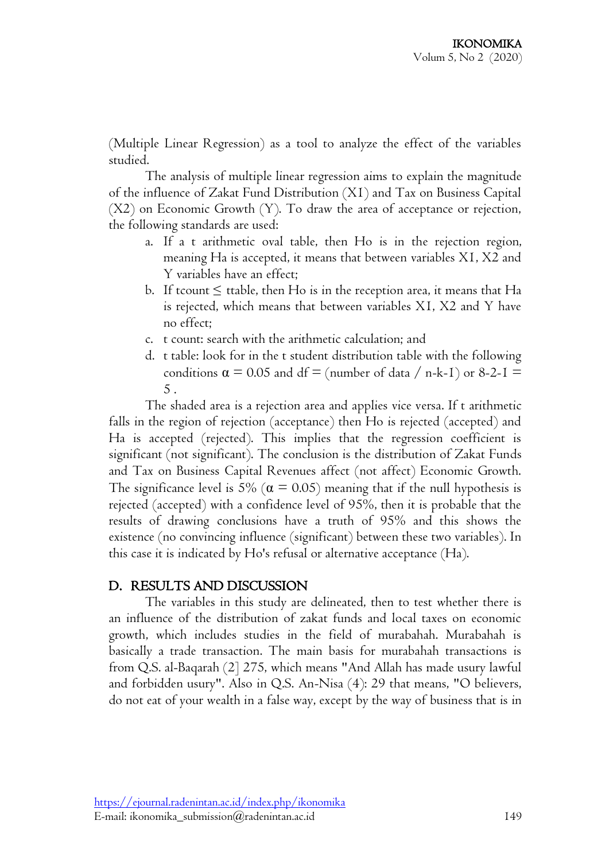(Multiple Linear Regression) as a tool to analyze the effect of the variables studied.

The analysis of multiple linear regression aims to explain the magnitude of the influence of Zakat Fund Distribution (X1) and Tax on Business Capital (X2) on Economic Growth (Y). To draw the area of acceptance or rejection, the following standards are used:

- a. If a t arithmetic oval table, then Ho is in the rejection region, meaning Ha is accepted, it means that between variables X1, X2 and Y variables have an effect;
- b. If tcount  $\leq$  ttable, then Ho is in the reception area, it means that Ha is rejected, which means that between variables X1, X2 and Y have no effect;
- c. t count: search with the arithmetic calculation; and
- d. t table: look for in the t student distribution table with the following conditions  $\alpha = 0.05$  and df = (number of data / n-k-I) or 8-2-I = 5 .

The shaded area is a rejection area and applies vice versa. If t arithmetic falls in the region of rejection (acceptance) then Ho is rejected (accepted) and Ha is accepted (rejected). This implies that the regression coefficient is significant (not significant). The conclusion is the distribution of Zakat Funds and Tax on Business Capital Revenues affect (not affect) Economic Growth. The significance level is 5% ( $\alpha$  = 0.05) meaning that if the null hypothesis is rejected (accepted) with a confidence level of 95%, then it is probable that the results of drawing conclusions have a truth of 95% and this shows the existence (no convincing influence (significant) between these two variables). In this case it is indicated by Ho's refusal or alternative acceptance (Ha).

# D. RESULTS AND DISCUSSION

The variables in this study are delineated, then to test whether there is an influence of the distribution of zakat funds and local taxes on economic growth, which includes studies in the field of murabahah. Murabahah is basically a trade transaction. The main basis for murabahah transactions is from Q.S. al-Baqarah (2] 275, which means "And Allah has made usury lawful and forbidden usury". Also in Q.S. An-Nisa (4): 29 that means, "O believers, do not eat of your wealth in a false way, except by the way of business that is in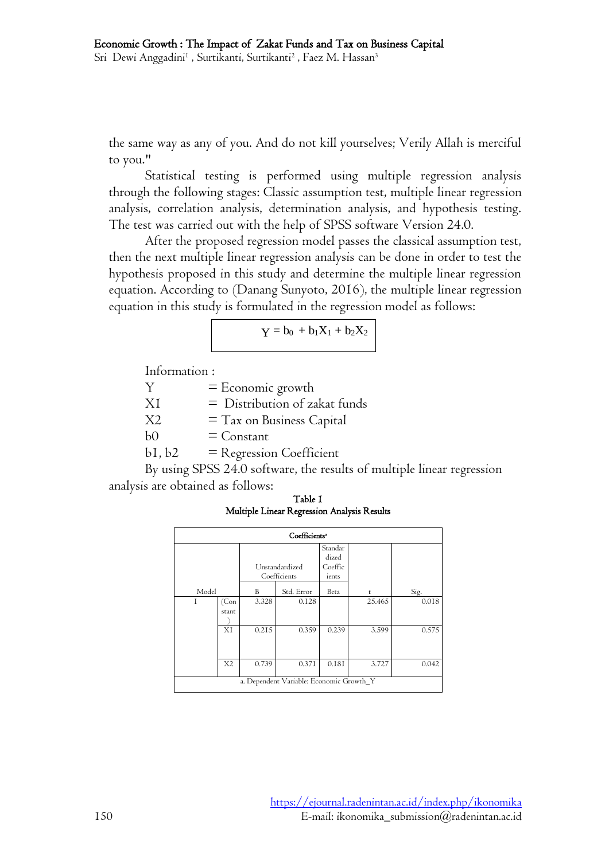Sri Dewi Anggadini<sup>1</sup> , Surtikanti, Surtikanti<sup>2</sup> , Faez M. Hassan<sup>3</sup>

the same way as any of you. And do not kill yourselves; Verily Allah is merciful to you."

Statistical testing is performed using multiple regression analysis through the following stages: Classic assumption test, multiple linear regression analysis, correlation analysis, determination analysis, and hypothesis testing. The test was carried out with the help of SPSS software Version 24.0.

After the proposed regression model passes the classical assumption test, then the next multiple linear regression analysis can be done in order to test the hypothesis proposed in this study and determine the multiple linear regression equation. According to (Danang Sunyoto, 2016), the multiple linear regression equation in this study is formulated in the regression model as follows:

$$
Y\equiv b_0\, + b_1 X_1 + b_2 X_2
$$

Information :

| Y              | $=$ Economic growth             |
|----------------|---------------------------------|
| XI             | $=$ Distribution of zakat funds |
| X <sub>2</sub> | $=$ Tax on Business Capital     |
| b <sub>0</sub> | $=$ Constant                    |
| bI, b2         | = Regression Coefficient        |

By using SPSS 24.0 software, the results of multiple linear regression analysis are obtained as follows:

Table 1 Multiple Linear Regression Analysis Results

| Coefficients <sup>*</sup>                |               |       |                                |                                      |        |       |  |  |
|------------------------------------------|---------------|-------|--------------------------------|--------------------------------------|--------|-------|--|--|
|                                          |               |       | Unstandardized<br>Coefficients | Standar<br>dized<br>Coeffic<br>ients |        |       |  |  |
| Model                                    |               | B     | Std. Error                     | Beta                                 | t      | Sig.  |  |  |
| T                                        | (Con<br>stant | 3.328 | 0.128                          |                                      | 25.465 | 0.018 |  |  |
|                                          | XI            | 0.215 | 0.359                          | 0.239                                | 3.599  | 0.575 |  |  |
|                                          | X2            | 0.739 | 0.371                          | 0.181                                | 3.727  | 0.042 |  |  |
| a. Dependent Variable: Economic Growth_Y |               |       |                                |                                      |        |       |  |  |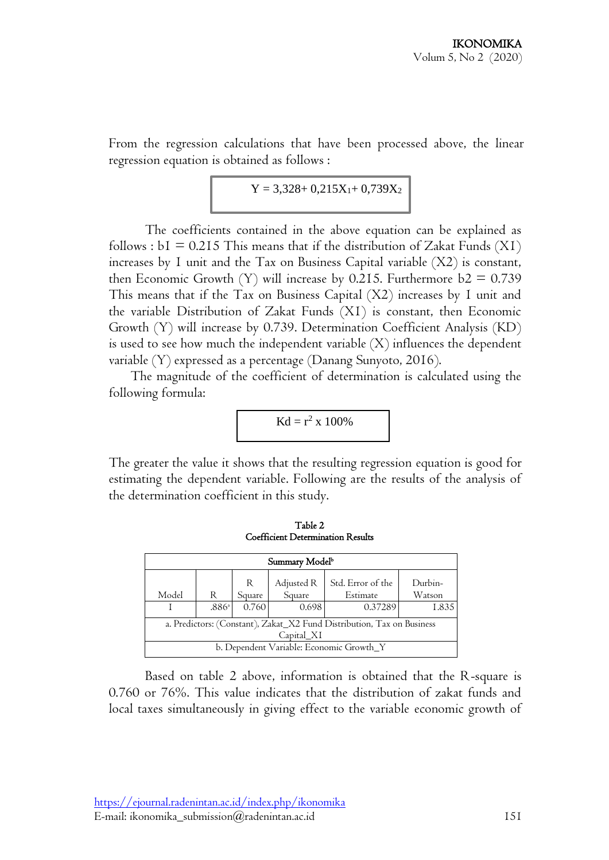From the regression calculations that have been processed above, the linear regression equation is obtained as follows :

$$
Y=3{,}328{\rm +0{,}}215X_1{\rm +0{,}}739X_2
$$

The coefficients contained in the above equation can be explained as follows :  $bI = 0.215$  This means that if the distribution of Zakat Funds (XI) increases by 1 unit and the Tax on Business Capital variable (X2) is constant, then Economic Growth (Y) will increase by 0.215. Furthermore  $b2 = 0.739$ This means that if the Tax on Business Capital (X2) increases by 1 unit and the variable Distribution of Zakat Funds (X1) is constant, then Economic Growth (Y) will increase by 0.739. Determination Coefficient Analysis (KD) is used to see how much the independent variable  $(X)$  influences the dependent variable (Y) expressed as a percentage (Danang Sunyoto, 2016).

The magnitude of the coefficient of determination is calculated using the following formula:

$$
Kd = r^2 \times 100\%
$$

The greater the value it shows that the resulting regression equation is good for estimating the dependent variable. Following are the results of the analysis of the determination coefficient in this study.

| Summary Model <sup>b</sup>                                                           |                   |        |                      |                               |                   |  |  |  |  |
|--------------------------------------------------------------------------------------|-------------------|--------|----------------------|-------------------------------|-------------------|--|--|--|--|
| Model                                                                                | R                 | Square | Adjusted R<br>Square | Std. Error of the<br>Estimate | Durbin-<br>Watson |  |  |  |  |
|                                                                                      | .886 <sup>a</sup> | 0.760  | 0.698                | 0.37289                       | 1.835             |  |  |  |  |
| a. Predictors: (Constant), Zakat_X2 Fund Distribution, Tax on Business<br>Capital XI |                   |        |                      |                               |                   |  |  |  |  |
| b. Dependent Variable: Economic Growth_Y                                             |                   |        |                      |                               |                   |  |  |  |  |

Table 2 Coefficient Determination Results

Based on table 2 above, information is obtained that the R-square is 0.760 or 76%. This value indicates that the distribution of zakat funds and local taxes simultaneously in giving effect to the variable economic growth of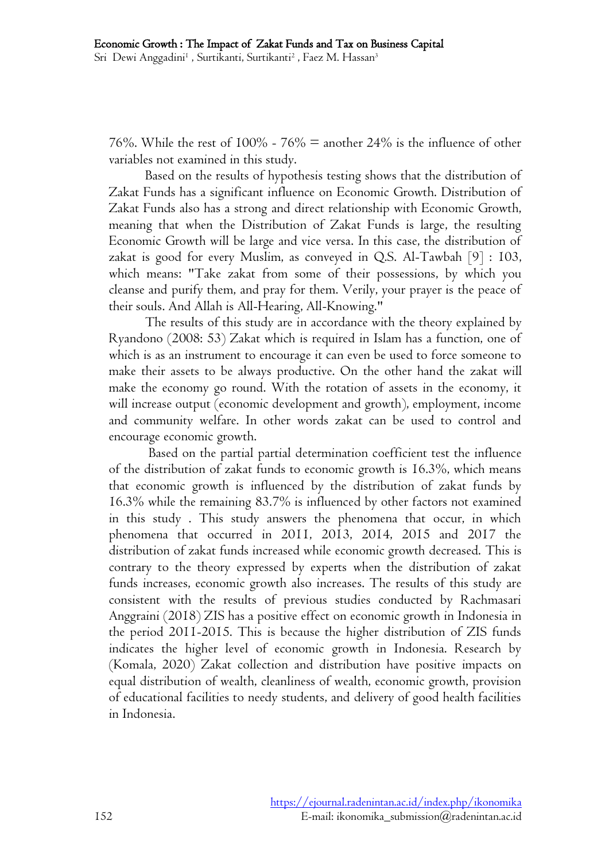Sri Dewi Anggadini<sup>1</sup> , Surtikanti, Surtikanti<sup>2</sup> , Faez M. Hassan<sup>3</sup>

76%. While the rest of  $100\%$  - 76% = another 24% is the influence of other variables not examined in this study.

Based on the results of hypothesis testing shows that the distribution of Zakat Funds has a significant influence on Economic Growth. Distribution of Zakat Funds also has a strong and direct relationship with Economic Growth, meaning that when the Distribution of Zakat Funds is large, the resulting Economic Growth will be large and vice versa. In this case, the distribution of zakat is good for every Muslim, as conveyed in Q.S. Al-Tawbah [9] : 103, which means: "Take zakat from some of their possessions, by which you cleanse and purify them, and pray for them. Verily, your prayer is the peace of their souls. And Allah is All-Hearing, All-Knowing."

The results of this study are in accordance with the theory explained by Ryandono (2008: 53) Zakat which is required in Islam has a function, one of which is as an instrument to encourage it can even be used to force someone to make their assets to be always productive. On the other hand the zakat will make the economy go round. With the rotation of assets in the economy, it will increase output (economic development and growth), employment, income and community welfare. In other words zakat can be used to control and encourage economic growth.

Based on the partial partial determination coefficient test the influence of the distribution of zakat funds to economic growth is 16.3%, which means that economic growth is influenced by the distribution of zakat funds by 16.3% while the remaining 83.7% is influenced by other factors not examined in this study . This study answers the phenomena that occur, in which phenomena that occurred in 2011, 2013, 2014, 2015 and 2017 the distribution of zakat funds increased while economic growth decreased. This is contrary to the theory expressed by experts when the distribution of zakat funds increases, economic growth also increases. The results of this study are consistent with the results of previous studies conducted by Rachmasari Anggraini (2018) ZIS has a positive effect on economic growth in Indonesia in the period 2011-2015. This is because the higher distribution of ZIS funds indicates the higher level of economic growth in Indonesia. Research by (Komala, 2020) Zakat collection and distribution have positive impacts on equal distribution of wealth, cleanliness of wealth, economic growth, provision of educational facilities to needy students, and delivery of good health facilities in Indonesia.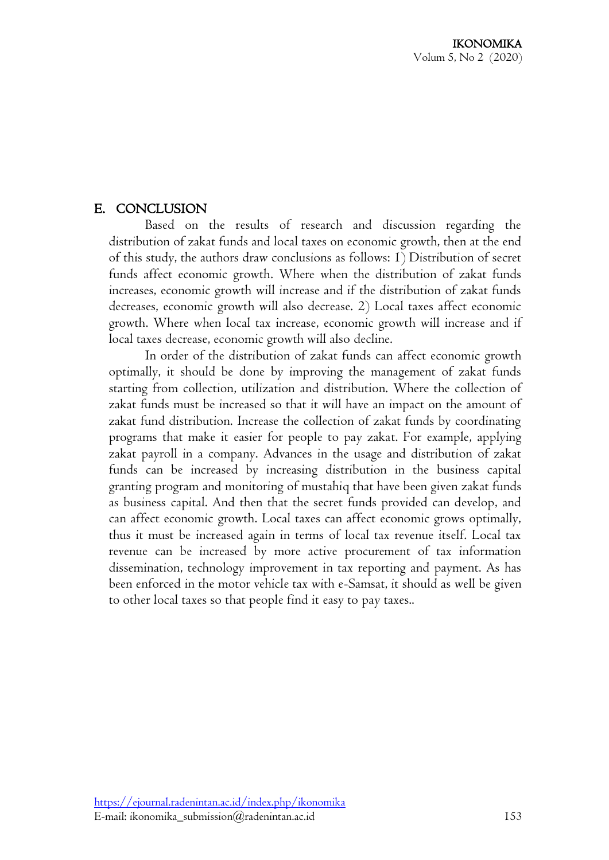# E. CONCLUSION

Based on the results of research and discussion regarding the distribution of zakat funds and local taxes on economic growth, then at the end of this study, the authors draw conclusions as follows: 1) Distribution of secret funds affect economic growth. Where when the distribution of zakat funds increases, economic growth will increase and if the distribution of zakat funds decreases, economic growth will also decrease. 2) Local taxes affect economic growth. Where when local tax increase, economic growth will increase and if local taxes decrease, economic growth will also decline.

In order of the distribution of zakat funds can affect economic growth optimally, it should be done by improving the management of zakat funds starting from collection, utilization and distribution. Where the collection of zakat funds must be increased so that it will have an impact on the amount of zakat fund distribution. Increase the collection of zakat funds by coordinating programs that make it easier for people to pay zakat. For example, applying zakat payroll in a company. Advances in the usage and distribution of zakat funds can be increased by increasing distribution in the business capital granting program and monitoring of mustahiq that have been given zakat funds as business capital. And then that the secret funds provided can develop, and can affect economic growth. Local taxes can affect economic grows optimally, thus it must be increased again in terms of local tax revenue itself. Local tax revenue can be increased by more active procurement of tax information dissemination, technology improvement in tax reporting and payment. As has been enforced in the motor vehicle tax with e-Samsat, it should as well be given to other local taxes so that people find it easy to pay taxes..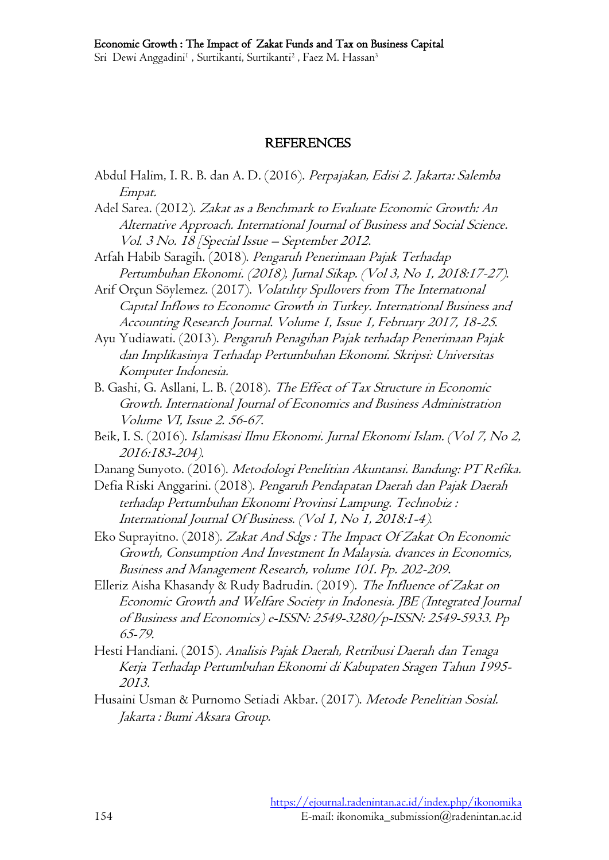#### REFERENCES

- Abdul Halim, I. R. B. dan A. D. (2016). Perpajakan, Edisi 2. Jakarta: Salemba Empat.
- Adel Sarea. (2012). Zakat as a Benchmark to Evaluate Economic Growth: An Alternative Approach. International Journal of Business and Social Science. Vol. 3 No. 18 [Special Issue – September 2012.
- Arfah Habib Saragih. (2018). Pengaruh Penerimaan Pajak Terhadap Pertumbuhan Ekonomi. (2018), Jurnal Sikap. (Vol 3, No 1, 2018:17-27).
- Arif Orçun Söylemez. (2017). Volatılıty Spıllovers from The Internatıonal Capıtal Inflows to Economıc Growth in Turkey. International Business and Accounting Research Journal. Volume 1, Issue 1, February 2017, 18-25.
- Ayu Yudiawati. (2013). Pengaruh Penagihan Pajak terhadap Penerimaan Pajak dan Implikasinya Terhadap Pertumbuhan Ekonomi. Skripsi: Universitas Komputer Indonesia.
- B. Gashi, G. Asllani, L. B. (2018). The Effect of Tax Structure in Economic Growth. International Journal of Economics and Business Administration Volume VI, Issue 2. 56-67.
- Beik, I. S. (2016). Islamisasi Ilmu Ekonomi. Jurnal Ekonomi Islam. (Vol 7, No 2, 2016:183-204).
- Danang Sunyoto. (2016). Metodologi Penelitian Akuntansi. Bandung: PT Refika.
- Defia Riski Anggarini. (2018). Pengaruh Pendapatan Daerah dan Pajak Daerah terhadap Pertumbuhan Ekonomi Provinsi Lampung. Technobiz : International Journal Of Business. (Vol 1, No 1, 2018:1-4).
- Eko Suprayitno. (2018). Zakat And Sdgs : The Impact Of Zakat On Economic Growth, Consumption And Investment In Malaysia. dvances in Economics, Business and Management Research, volume 101. Pp. 202-209.
- Elleriz Aisha Khasandy & Rudy Badrudin. (2019). The Influence of Zakat on Economic Growth and Welfare Society in Indonesia. JBE (Integrated Journal of Business and Economics) e-ISSN: 2549-3280/p-ISSN: 2549-5933. Pp 65-79.
- Hesti Handiani. (2015). Analisis Pajak Daerah, Retribusi Daerah dan Tenaga Kerja Terhadap Pertumbuhan Ekonomi di Kabupaten Sragen Tahun 1995- 2013.
- Husaini Usman & Purnomo Setiadi Akbar. (2017). Metode Penelitian Sosial. Jakarta : Bumi Aksara Group.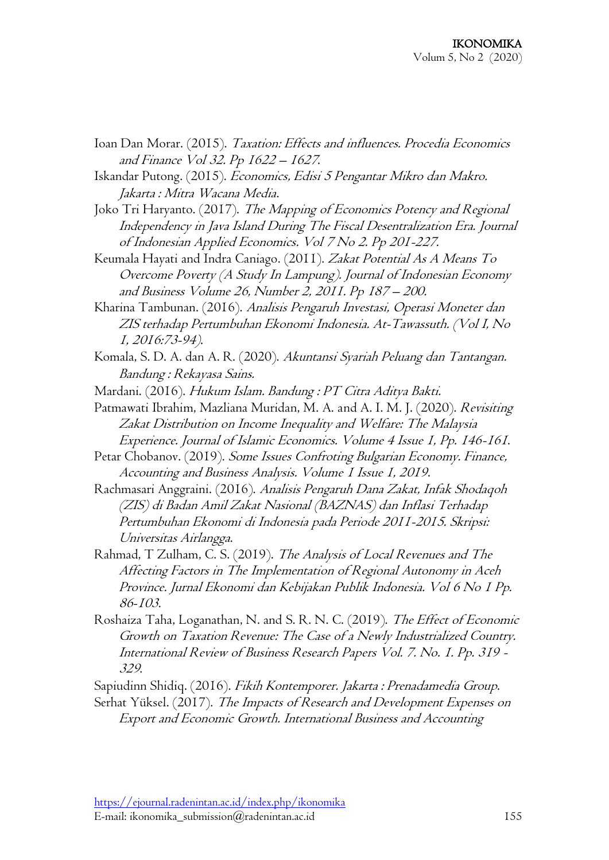- Ioan Dan Morar. (2015). Taxation: Effects and influences. Procedia Economics and Finance Vol 32. Pp 1622 – <sup>1627</sup>.
- Iskandar Putong. (2015). Economics, Edisi 5 Pengantar Mikro dan Makro. Jakarta : Mitra Wacana Media.
- Joko Tri Haryanto. (2017). The Mapping of Economics Potency and Regional Independency in Java Island During The Fiscal Desentralization Era. Journal of Indonesian Applied Economics. Vol 7 No 2. Pp 201-227.
- Keumala Hayati and Indra Caniago. (2011). Zakat Potential As A Means To Overcome Poverty (A Study In Lampung). Journal of Indonesian Economy and Business Volume 26, Number 2, 2011. Pp 187 – 200.
- Kharina Tambunan. (2016). Analisis Pengaruh Investasi, Operasi Moneter dan ZIS terhadap Pertumbuhan Ekonomi Indonesia. At-Tawassuth. (Vol I, No 1, 2016:73-94).
- Komala, S. D. A. dan A. R. (2020). Akuntansi Syariah Peluang dan Tantangan. Bandung : Rekayasa Sains.
- Mardani. (2016). Hukum Islam. Bandung : PT Citra Aditya Bakti.
- Patmawati Ibrahim, Mazliana Muridan, M. A. and A. I. M. J. (2020). Revisiting Zakat Distribution on Income Inequality and Welfare: The Malaysia Experience. Journal of Islamic Economics. Volume 4 Issue 1, Pp. 146-161.
- Petar Chobanov. (2019). Some Issues Confroting Bulgarian Economy. Finance, Accounting and Business Analysis. Volume 1 Issue 1, 2019.
- Rachmasari Anggraini. (2016). Analisis Pengaruh Dana Zakat, Infak Shodaqoh (ZIS) di Badan Amil Zakat Nasional (BAZNAS) dan Inflasi Terhadap Pertumbuhan Ekonomi di Indonesia pada Periode 2011-2015. Skripsi: Universitas Airlangga.
- Rahmad, T Zulham, C. S. (2019). The Analysis of Local Revenues and The Affecting Factors in The Implementation of Regional Autonomy in Aceh Province. Jurnal Ekonomi dan Kebijakan Publik Indonesia. Vol 6 No 1 Pp. 86-103.
- Roshaiza Taha, Loganathan, N. and S. R. N. C. (2019). The Effect of Economic Growth on Taxation Revenue: The Case of a Newly Industrialized Country. International Review of Business Research Papers Vol. 7. No. 1. Pp. 319 - <sup>329</sup>.
- Sapiudinn Shidiq. (2016). Fikih Kontemporer. Jakarta : Prenadamedia Group.
- Serhat Yüksel. (2017). The Impacts of Research and Development Expenses on Export and Economic Growth. International Business and Accounting